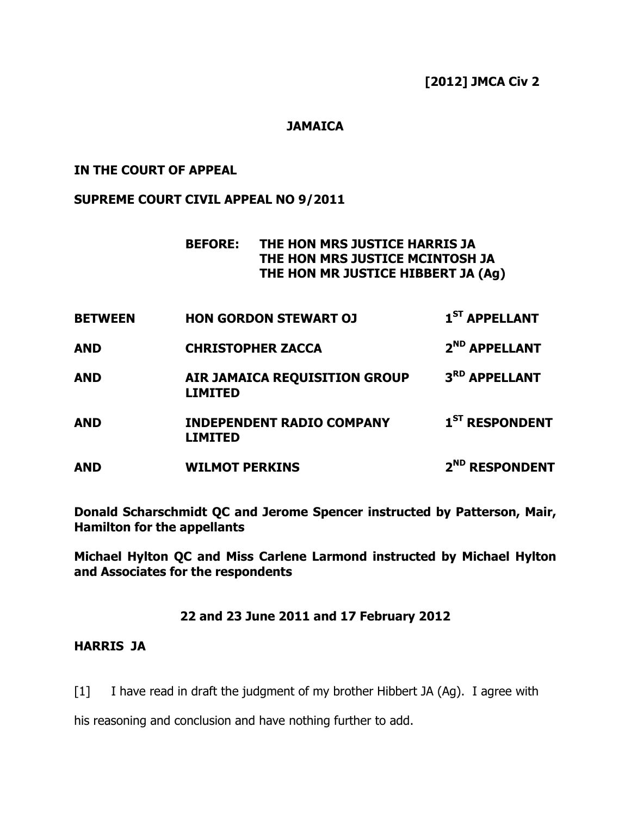### **JAMAICA**

#### IN THE COURT OF APPEAL

#### SUPREME COURT CIVIL APPEAL NO 9/2011

### BEFORE: THE HON MRS JUSTICE HARRIS JA THE HON MRS JUSTICE MCINTOSH JA THE HON MR JUSTICE HIBBERT JA (Ag)

| <b>BETWEEN</b> | <b>HON GORDON STEWART OJ</b>                           | $1ST$ APPELLANT            |
|----------------|--------------------------------------------------------|----------------------------|
| <b>AND</b>     | <b>CHRISTOPHER ZACCA</b>                               | 2 <sup>ND</sup> APPELLANT  |
| <b>AND</b>     | <b>AIR JAMAICA REQUISITION GROUP</b><br><b>LIMITED</b> | 3 <sup>RD</sup> APPELLANT  |
| <b>AND</b>     | <b>INDEPENDENT RADIO COMPANY</b><br><b>LIMITED</b>     | 1 <sup>ST</sup> RESPONDENT |
| <b>AND</b>     | <b>WILMOT PERKINS</b>                                  | 2 <sup>ND</sup> RESPONDENT |

Donald Scharschmidt QC and Jerome Spencer instructed by Patterson, Mair, Hamilton for the appellants

Michael Hylton QC and Miss Carlene Larmond instructed by Michael Hylton and Associates for the respondents

#### 22 and 23 June 2011 and 17 February 2012

### HARRIS JA

[1] I have read in draft the judgment of my brother Hibbert JA (Ag). I agree with

his reasoning and conclusion and have nothing further to add.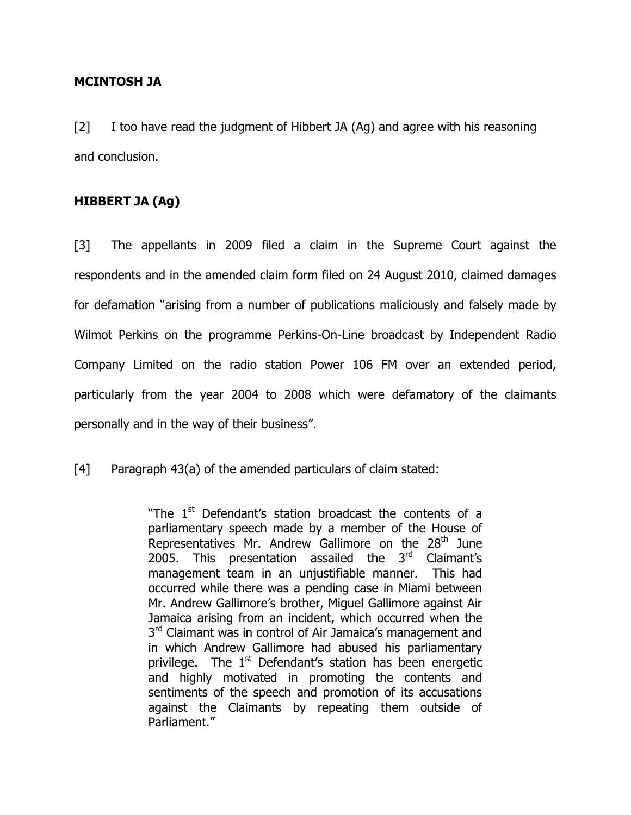### MCINTOSH JA

[2] I too have read the judgment of Hibbert JA (Ag) and agree with his reasoning and conclusion.

### HIBBERT JA (Ag)

[3] The appellants in 2009 filed a claim in the Supreme Court against the respondents and in the amended claim form filed on 24 August 2010, claimed damages for defamation "arising from a number of publications maliciously and falsely made by Wilmot Perkins on the programme Perkins-On-Line broadcast by Independent Radio Company Limited on the radio station Power 106 FM over an extended period, particularly from the year 2004 to 2008 which were defamatory of the claimants personally and in the way of their business".

[4] Paragraph 43(a) of the amended particulars of claim stated:

"The 1<sup>st</sup> Defendant's station broadcast the contents of a parliamentary speech made by a member of the House of Representatives Mr. Andrew Gallimore on the  $28<sup>th</sup>$  June 2005. This presentation assailed the 3<sup>rd</sup> Claimant's management team in an unjustifiable manner. This had occurred while there was a pending case in Miami between Mr. Andrew Gallimore's brother, Miguel Gallimore against Air Jamaica arising from an incident, which occurred when the 3<sup>rd</sup> Claimant was in control of Air Jamaica's management and in which Andrew Gallimore had abused his parliamentary privilege. The  $1<sup>st</sup>$  Defendant's station has been energetic and highly motivated in promoting the contents and sentiments of the speech and promotion of its accusations against the Claimants by repeating them outside of Parliament."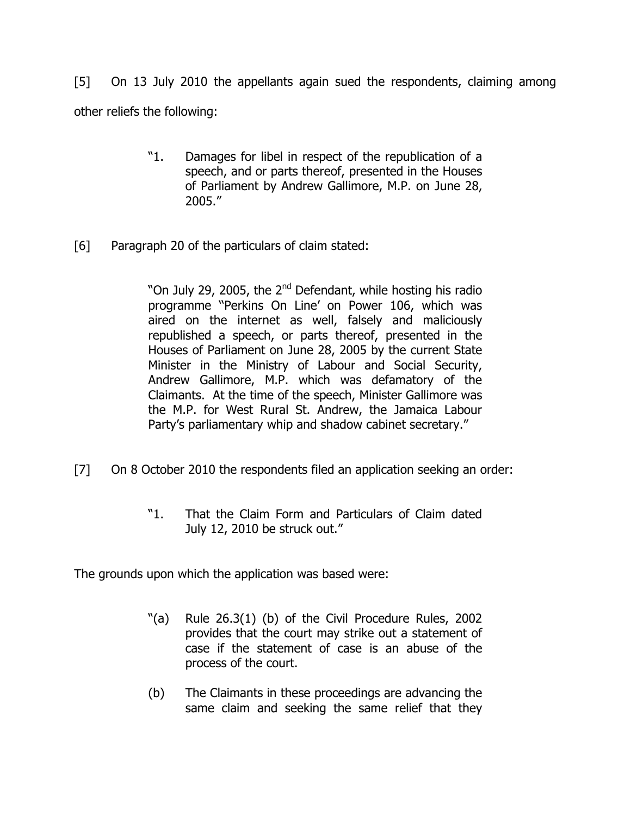[5] On 13 July 2010 the appellants again sued the respondents, claiming among other reliefs the following:

- "1. Damages for libel in respect of the republication of a speech, and or parts thereof, presented in the Houses of Parliament by Andrew Gallimore, M.P. on June 28, 2005."
- [6] Paragraph 20 of the particulars of claim stated:

"On July 29, 2005, the 2<sup>nd</sup> Defendant, while hosting his radio programme ''Perkins On Line' on Power 106, which was aired on the internet as well, falsely and maliciously republished a speech, or parts thereof, presented in the Houses of Parliament on June 28, 2005 by the current State Minister in the Ministry of Labour and Social Security, Andrew Gallimore, M.P. which was defamatory of the Claimants. At the time of the speech, Minister Gallimore was the M.P. for West Rural St. Andrew, the Jamaica Labour Party's parliamentary whip and shadow cabinet secretary."

- [7] On 8 October 2010 the respondents filed an application seeking an order:
	- "1. That the Claim Form and Particulars of Claim dated July 12, 2010 be struck out."

The grounds upon which the application was based were:

- "(a) Rule 26.3(1) (b) of the Civil Procedure Rules, 2002 provides that the court may strike out a statement of case if the statement of case is an abuse of the process of the court.
- (b) The Claimants in these proceedings are advancing the same claim and seeking the same relief that they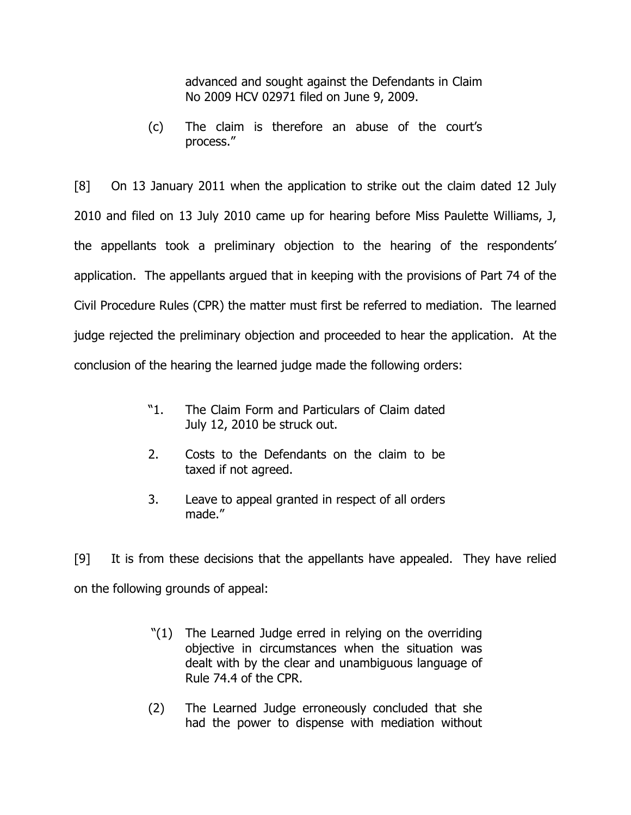advanced and sought against the Defendants in Claim No 2009 HCV 02971 filed on June 9, 2009.

(c) The claim is therefore an abuse of the court's process."

[8] On 13 January 2011 when the application to strike out the claim dated 12 July 2010 and filed on 13 July 2010 came up for hearing before Miss Paulette Williams, J, the appellants took a preliminary objection to the hearing of the respondents' application. The appellants argued that in keeping with the provisions of Part 74 of the Civil Procedure Rules (CPR) the matter must first be referred to mediation. The learned judge rejected the preliminary objection and proceeded to hear the application. At the conclusion of the hearing the learned judge made the following orders:

- "1. The Claim Form and Particulars of Claim dated July 12, 2010 be struck out.
- 2. Costs to the Defendants on the claim to be taxed if not agreed.
- 3. Leave to appeal granted in respect of all orders made."

[9] It is from these decisions that the appellants have appealed. They have relied on the following grounds of appeal:

- "(1) The Learned Judge erred in relying on the overriding objective in circumstances when the situation was dealt with by the clear and unambiguous language of Rule 74.4 of the CPR.
- (2) The Learned Judge erroneously concluded that she had the power to dispense with mediation without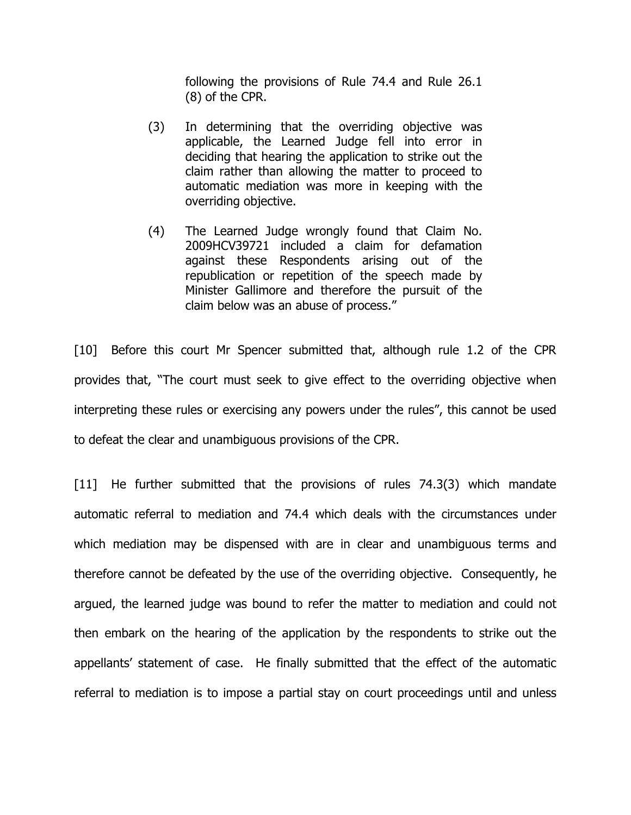following the provisions of Rule 74.4 and Rule 26.1 (8) of the CPR.

- (3) In determining that the overriding objective was applicable, the Learned Judge fell into error in deciding that hearing the application to strike out the claim rather than allowing the matter to proceed to automatic mediation was more in keeping with the overriding objective.
- (4) The Learned Judge wrongly found that Claim No. 2009HCV39721 included a claim for defamation against these Respondents arising out of the republication or repetition of the speech made by Minister Gallimore and therefore the pursuit of the claim below was an abuse of process."

[10] Before this court Mr Spencer submitted that, although rule 1.2 of the CPR provides that, "The court must seek to give effect to the overriding objective when interpreting these rules or exercising any powers under the rules", this cannot be used to defeat the clear and unambiguous provisions of the CPR.

[11] He further submitted that the provisions of rules 74.3(3) which mandate automatic referral to mediation and 74.4 which deals with the circumstances under which mediation may be dispensed with are in clear and unambiguous terms and therefore cannot be defeated by the use of the overriding objective. Consequently, he argued, the learned judge was bound to refer the matter to mediation and could not then embark on the hearing of the application by the respondents to strike out the appellants' statement of case. He finally submitted that the effect of the automatic referral to mediation is to impose a partial stay on court proceedings until and unless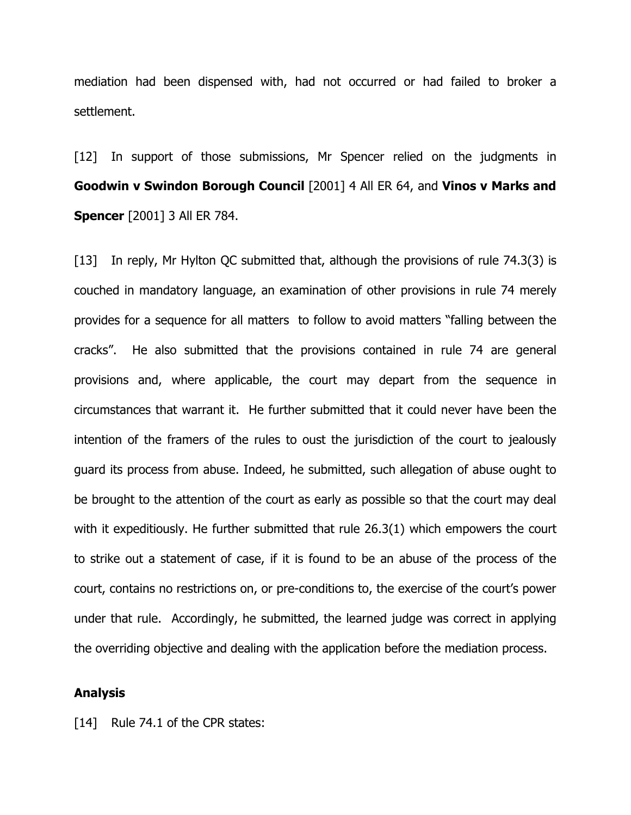mediation had been dispensed with, had not occurred or had failed to broker a settlement.

[12] In support of those submissions, Mr Spencer relied on the judgments in Goodwin v Swindon Borough Council [2001] 4 All ER 64, and Vinos v Marks and **Spencer** [2001] 3 All ER 784.

[13] In reply, Mr Hylton QC submitted that, although the provisions of rule 74.3(3) is couched in mandatory language, an examination of other provisions in rule 74 merely provides for a sequence for all matters to follow to avoid matters "falling between the cracks". He also submitted that the provisions contained in rule 74 are general provisions and, where applicable, the court may depart from the sequence in circumstances that warrant it. He further submitted that it could never have been the intention of the framers of the rules to oust the jurisdiction of the court to jealously guard its process from abuse. Indeed, he submitted, such allegation of abuse ought to be brought to the attention of the court as early as possible so that the court may deal with it expeditiously. He further submitted that rule 26.3(1) which empowers the court to strike out a statement of case, if it is found to be an abuse of the process of the court, contains no restrictions on, or pre-conditions to, the exercise of the court's power under that rule. Accordingly, he submitted, the learned judge was correct in applying the overriding objective and dealing with the application before the mediation process.

#### Analysis

[14] Rule 74.1 of the CPR states: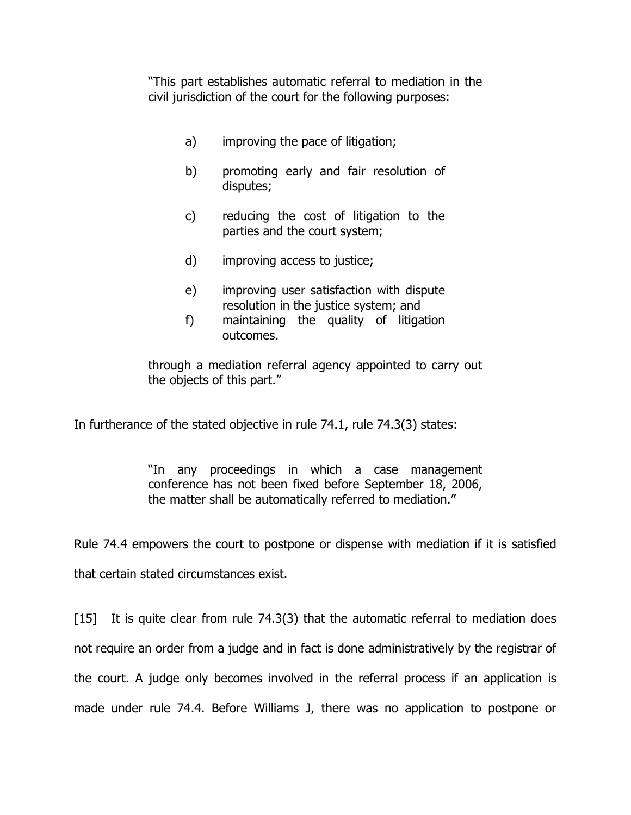"This part establishes automatic referral to mediation in the civil jurisdiction of the court for the following purposes:

- a) improving the pace of litigation;
- b) promoting early and fair resolution of disputes;
- c) reducing the cost of litigation to the parties and the court system;
- d) improving access to justice;
- e) improving user satisfaction with dispute resolution in the justice system; and
- f) maintaining the quality of litigation outcomes.

through a mediation referral agency appointed to carry out the objects of this part."

In furtherance of the stated objective in rule 74.1, rule 74.3(3) states:

"In any proceedings in which a case management conference has not been fixed before September 18, 2006, the matter shall be automatically referred to mediation."

Rule 74.4 empowers the court to postpone or dispense with mediation if it is satisfied that certain stated circumstances exist.

[15] It is quite clear from rule 74.3(3) that the automatic referral to mediation does not require an order from a judge and in fact is done administratively by the registrar of the court. A judge only becomes involved in the referral process if an application is made under rule 74.4. Before Williams J, there was no application to postpone or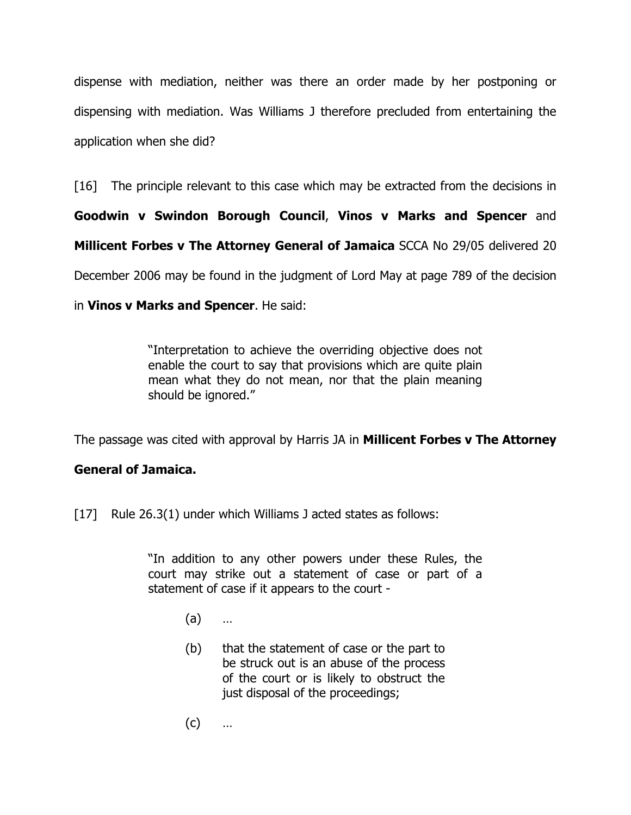dispense with mediation, neither was there an order made by her postponing or dispensing with mediation. Was Williams J therefore precluded from entertaining the application when she did?

[16] The principle relevant to this case which may be extracted from the decisions in

Goodwin v Swindon Borough Council, Vinos v Marks and Spencer and

Millicent Forbes v The Attorney General of Jamaica SCCA No 29/05 delivered 20

December 2006 may be found in the judgment of Lord May at page 789 of the decision

in Vinos v Marks and Spencer. He said:

"Interpretation to achieve the overriding objective does not enable the court to say that provisions which are quite plain mean what they do not mean, nor that the plain meaning should be ignored."

The passage was cited with approval by Harris JA in **Millicent Forbes v The Attorney** 

#### General of Jamaica.

[17] Rule 26.3(1) under which Williams J acted states as follows:

"In addition to any other powers under these Rules, the court may strike out a statement of case or part of a statement of case if it appears to the court -

- (a) …
- (b) that the statement of case or the part to be struck out is an abuse of the process of the court or is likely to obstruct the just disposal of the proceedings;
- (c) …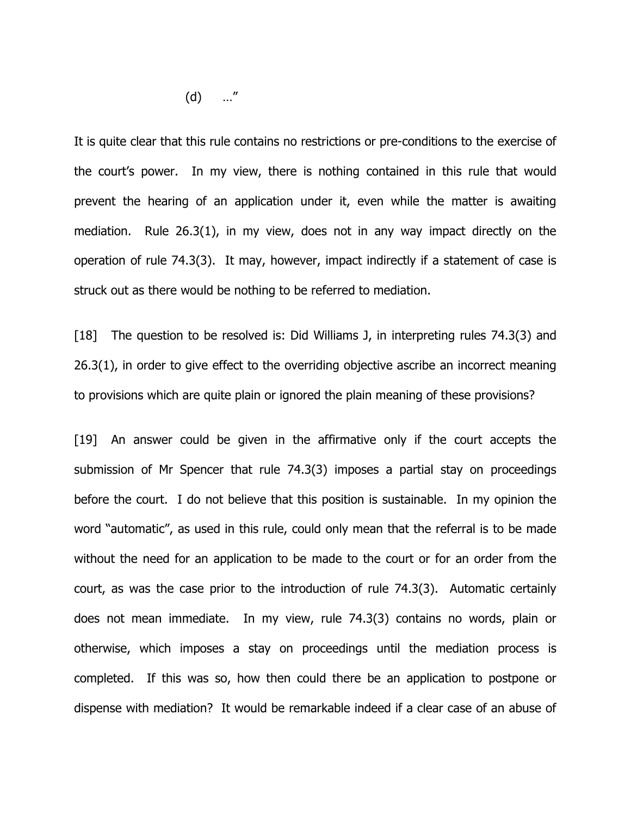(d) …"

It is quite clear that this rule contains no restrictions or pre-conditions to the exercise of the court's power. In my view, there is nothing contained in this rule that would prevent the hearing of an application under it, even while the matter is awaiting mediation. Rule 26.3(1), in my view, does not in any way impact directly on the operation of rule 74.3(3). It may, however, impact indirectly if a statement of case is struck out as there would be nothing to be referred to mediation.

[18] The question to be resolved is: Did Williams J, in interpreting rules 74.3(3) and 26.3(1), in order to give effect to the overriding objective ascribe an incorrect meaning to provisions which are quite plain or ignored the plain meaning of these provisions?

[19] An answer could be given in the affirmative only if the court accepts the submission of Mr Spencer that rule 74.3(3) imposes a partial stay on proceedings before the court. I do not believe that this position is sustainable. In my opinion the word "automatic", as used in this rule, could only mean that the referral is to be made without the need for an application to be made to the court or for an order from the court, as was the case prior to the introduction of rule 74.3(3). Automatic certainly does not mean immediate. In my view, rule 74.3(3) contains no words, plain or otherwise, which imposes a stay on proceedings until the mediation process is completed. If this was so, how then could there be an application to postpone or dispense with mediation? It would be remarkable indeed if a clear case of an abuse of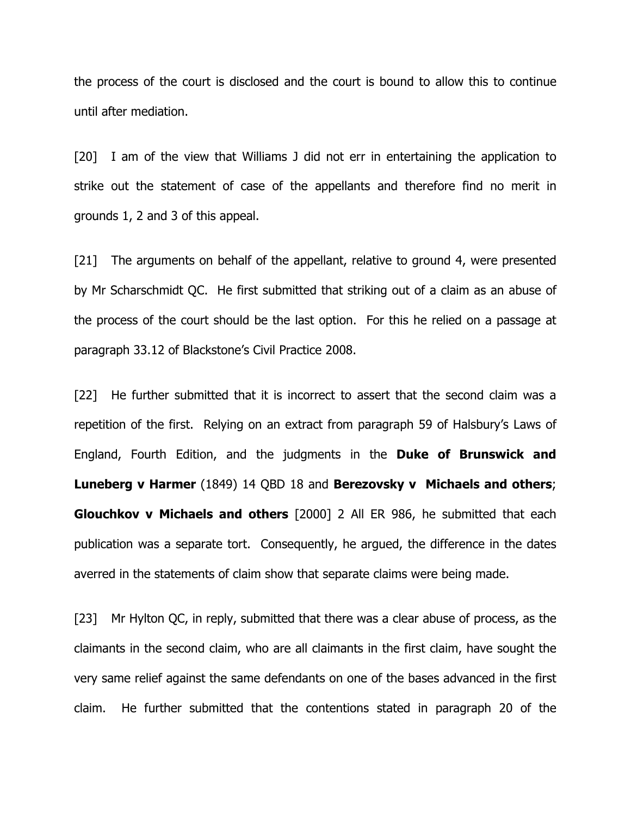the process of the court is disclosed and the court is bound to allow this to continue until after mediation.

[20] I am of the view that Williams J did not err in entertaining the application to strike out the statement of case of the appellants and therefore find no merit in grounds 1, 2 and 3 of this appeal.

[21] The arguments on behalf of the appellant, relative to ground 4, were presented by Mr Scharschmidt QC. He first submitted that striking out of a claim as an abuse of the process of the court should be the last option. For this he relied on a passage at paragraph 33.12 of Blackstone's Civil Practice 2008.

[22] He further submitted that it is incorrect to assert that the second claim was a repetition of the first. Relying on an extract from paragraph 59 of Halsbury's Laws of England, Fourth Edition, and the judgments in the Duke of Brunswick and Luneberg v Harmer (1849) 14 QBD 18 and Berezovsky v Michaels and others; **Glouchkov v Michaels and others** [2000] 2 All ER 986, he submitted that each publication was a separate tort. Consequently, he argued, the difference in the dates averred in the statements of claim show that separate claims were being made.

[23] Mr Hylton QC, in reply, submitted that there was a clear abuse of process, as the claimants in the second claim, who are all claimants in the first claim, have sought the very same relief against the same defendants on one of the bases advanced in the first claim. He further submitted that the contentions stated in paragraph 20 of the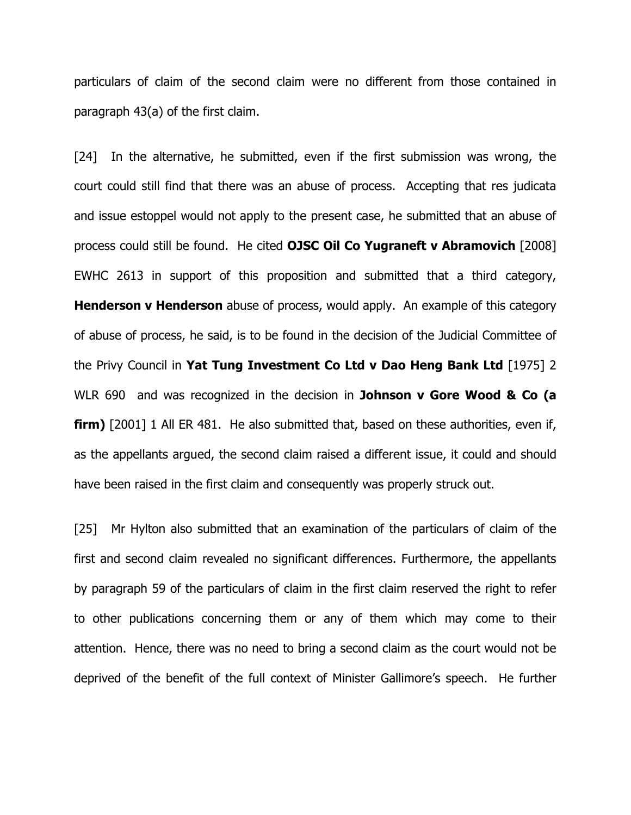particulars of claim of the second claim were no different from those contained in paragraph 43(a) of the first claim.

[24] In the alternative, he submitted, even if the first submission was wrong, the court could still find that there was an abuse of process. Accepting that res judicata and issue estoppel would not apply to the present case, he submitted that an abuse of process could still be found. He cited OJSC Oil Co Yugraneft v Abramovich [2008] EWHC 2613 in support of this proposition and submitted that a third category, **Henderson v Henderson** abuse of process, would apply. An example of this category of abuse of process, he said, is to be found in the decision of the Judicial Committee of the Privy Council in Yat Tung Investment Co Ltd v Dao Heng Bank Ltd [1975] 2 WLR 690 and was recognized in the decision in **Johnson v Gore Wood & Co (a firm)** [2001] 1 All ER 481. He also submitted that, based on these authorities, even if, as the appellants argued, the second claim raised a different issue, it could and should have been raised in the first claim and consequently was properly struck out.

[25] Mr Hylton also submitted that an examination of the particulars of claim of the first and second claim revealed no significant differences. Furthermore, the appellants by paragraph 59 of the particulars of claim in the first claim reserved the right to refer to other publications concerning them or any of them which may come to their attention. Hence, there was no need to bring a second claim as the court would not be deprived of the benefit of the full context of Minister Gallimore's speech. He further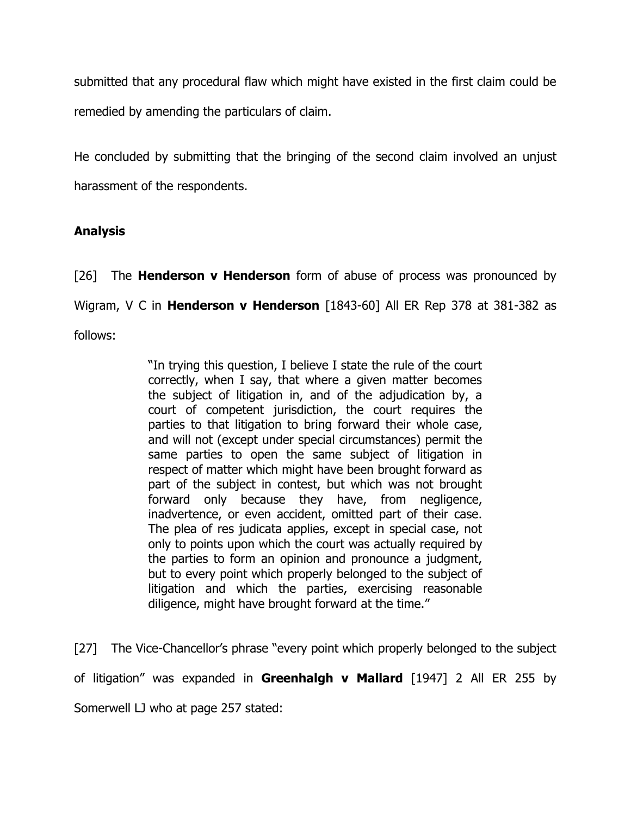submitted that any procedural flaw which might have existed in the first claim could be remedied by amending the particulars of claim.

He concluded by submitting that the bringing of the second claim involved an unjust harassment of the respondents.

## Analysis

[26] The **Henderson v Henderson** form of abuse of process was pronounced by Wigram, V C in **Henderson v Henderson** [1843-60] All ER Rep 378 at 381-382 as follows:

> "In trying this question, I believe I state the rule of the court correctly, when I say, that where a given matter becomes the subject of litigation in, and of the adjudication by, a court of competent jurisdiction, the court requires the parties to that litigation to bring forward their whole case, and will not (except under special circumstances) permit the same parties to open the same subject of litigation in respect of matter which might have been brought forward as part of the subject in contest, but which was not brought forward only because they have, from negligence, inadvertence, or even accident, omitted part of their case. The plea of res judicata applies, except in special case, not only to points upon which the court was actually required by the parties to form an opinion and pronounce a judgment, but to every point which properly belonged to the subject of litigation and which the parties, exercising reasonable diligence, might have brought forward at the time."

[27] The Vice-Chancellor's phrase "every point which properly belonged to the subject of litigation" was expanded in Greenhalgh v Mallard  $[1947]$  2 All ER 255 by Somerwell LJ who at page 257 stated: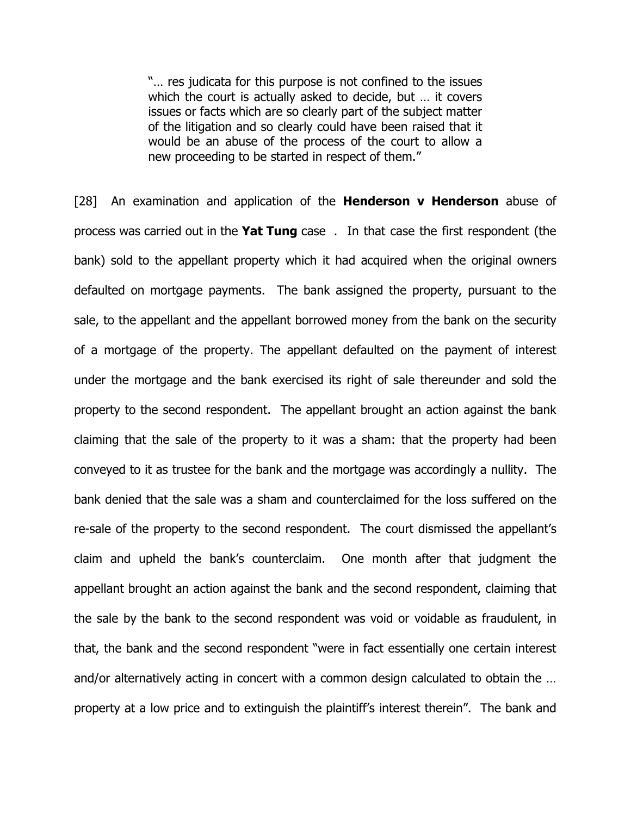"… res judicata for this purpose is not confined to the issues which the court is actually asked to decide, but … it covers issues or facts which are so clearly part of the subject matter of the litigation and so clearly could have been raised that it would be an abuse of the process of the court to allow a new proceeding to be started in respect of them."

[28] An examination and application of the **Henderson v Henderson** abuse of process was carried out in the Yat Tung case . In that case the first respondent (the bank) sold to the appellant property which it had acquired when the original owners defaulted on mortgage payments. The bank assigned the property, pursuant to the sale, to the appellant and the appellant borrowed money from the bank on the security of a mortgage of the property. The appellant defaulted on the payment of interest under the mortgage and the bank exercised its right of sale thereunder and sold the property to the second respondent. The appellant brought an action against the bank claiming that the sale of the property to it was a sham: that the property had been conveyed to it as trustee for the bank and the mortgage was accordingly a nullity. The bank denied that the sale was a sham and counterclaimed for the loss suffered on the re-sale of the property to the second respondent. The court dismissed the appellant's claim and upheld the bank's counterclaim. One month after that judgment the appellant brought an action against the bank and the second respondent, claiming that the sale by the bank to the second respondent was void or voidable as fraudulent, in that, the bank and the second respondent "were in fact essentially one certain interest and/or alternatively acting in concert with a common design calculated to obtain the … property at a low price and to extinguish the plaintiff's interest therein". The bank and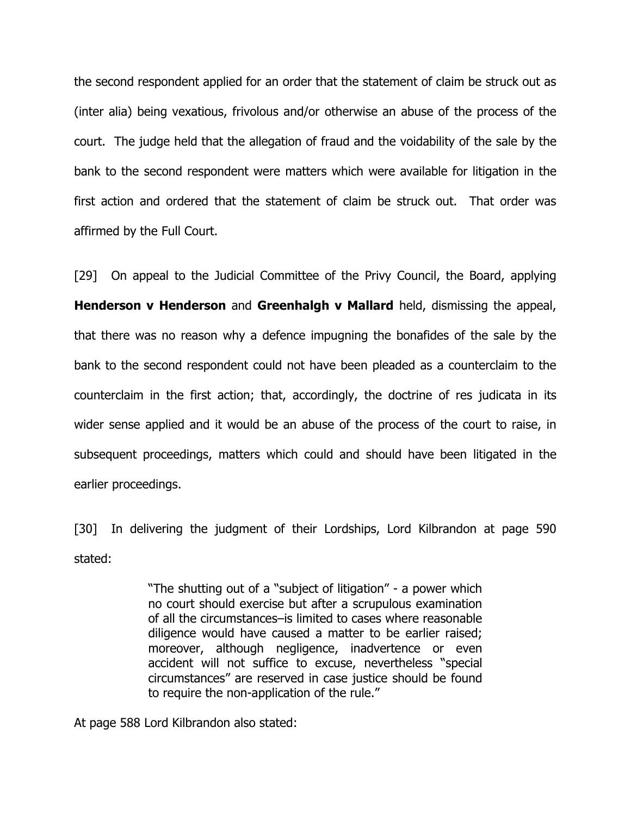the second respondent applied for an order that the statement of claim be struck out as (inter alia) being vexatious, frivolous and/or otherwise an abuse of the process of the court. The judge held that the allegation of fraud and the voidability of the sale by the bank to the second respondent were matters which were available for litigation in the first action and ordered that the statement of claim be struck out. That order was affirmed by the Full Court.

[29] On appeal to the Judicial Committee of the Privy Council, the Board, applying Henderson v Henderson and Greenhalgh v Mallard held, dismissing the appeal, that there was no reason why a defence impugning the bonafides of the sale by the bank to the second respondent could not have been pleaded as a counterclaim to the counterclaim in the first action; that, accordingly, the doctrine of res judicata in its wider sense applied and it would be an abuse of the process of the court to raise, in subsequent proceedings, matters which could and should have been litigated in the earlier proceedings.

[30] In delivering the judgment of their Lordships, Lord Kilbrandon at page 590 stated:

> "The shutting out of a "subject of litigation" - a power which no court should exercise but after a scrupulous examination of all the circumstances–is limited to cases where reasonable diligence would have caused a matter to be earlier raised; moreover, although negligence, inadvertence or even accident will not suffice to excuse, nevertheless "special circumstances" are reserved in case justice should be found to require the non-application of the rule."

At page 588 Lord Kilbrandon also stated: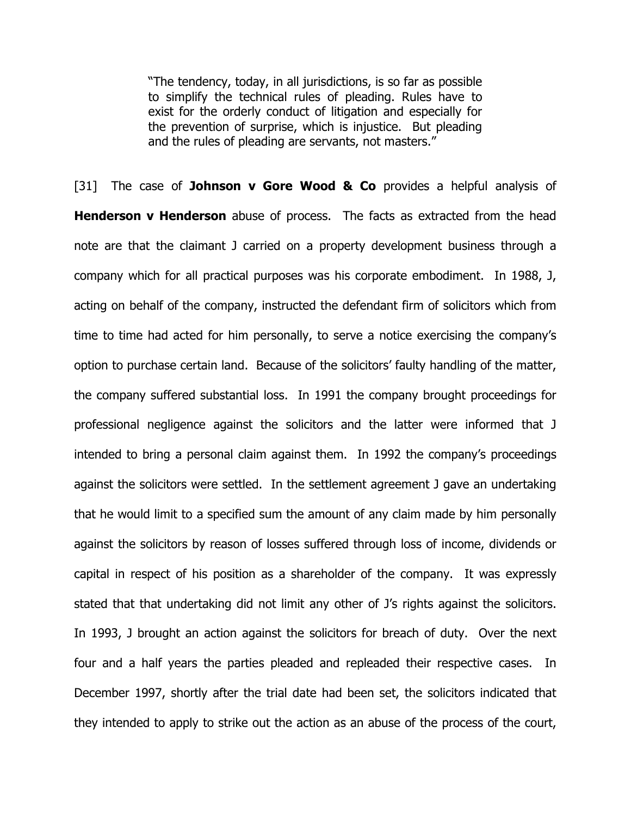"The tendency, today, in all jurisdictions, is so far as possible to simplify the technical rules of pleading. Rules have to exist for the orderly conduct of litigation and especially for the prevention of surprise, which is injustice. But pleading and the rules of pleading are servants, not masters."

[31] The case of **Johnson v Gore Wood & Co** provides a helpful analysis of Henderson v Henderson abuse of process. The facts as extracted from the head note are that the claimant J carried on a property development business through a company which for all practical purposes was his corporate embodiment. In 1988, J, acting on behalf of the company, instructed the defendant firm of solicitors which from time to time had acted for him personally, to serve a notice exercising the company's option to purchase certain land. Because of the solicitors' faulty handling of the matter, the company suffered substantial loss. In 1991 the company brought proceedings for professional negligence against the solicitors and the latter were informed that J intended to bring a personal claim against them. In 1992 the company's proceedings against the solicitors were settled. In the settlement agreement J gave an undertaking that he would limit to a specified sum the amount of any claim made by him personally against the solicitors by reason of losses suffered through loss of income, dividends or capital in respect of his position as a shareholder of the company. It was expressly stated that that undertaking did not limit any other of J's rights against the solicitors. In 1993, J brought an action against the solicitors for breach of duty. Over the next four and a half years the parties pleaded and repleaded their respective cases. In December 1997, shortly after the trial date had been set, the solicitors indicated that they intended to apply to strike out the action as an abuse of the process of the court,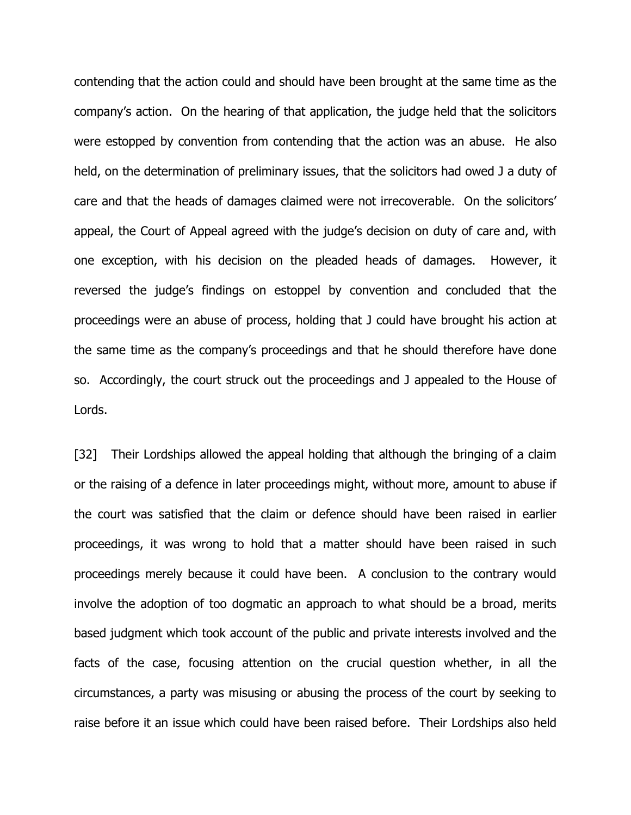contending that the action could and should have been brought at the same time as the company's action. On the hearing of that application, the judge held that the solicitors were estopped by convention from contending that the action was an abuse. He also held, on the determination of preliminary issues, that the solicitors had owed J a duty of care and that the heads of damages claimed were not irrecoverable. On the solicitors' appeal, the Court of Appeal agreed with the judge's decision on duty of care and, with one exception, with his decision on the pleaded heads of damages. However, it reversed the judge's findings on estoppel by convention and concluded that the proceedings were an abuse of process, holding that J could have brought his action at the same time as the company's proceedings and that he should therefore have done so. Accordingly, the court struck out the proceedings and J appealed to the House of Lords.

[32] Their Lordships allowed the appeal holding that although the bringing of a claim or the raising of a defence in later proceedings might, without more, amount to abuse if the court was satisfied that the claim or defence should have been raised in earlier proceedings, it was wrong to hold that a matter should have been raised in such proceedings merely because it could have been. A conclusion to the contrary would involve the adoption of too dogmatic an approach to what should be a broad, merits based judgment which took account of the public and private interests involved and the facts of the case, focusing attention on the crucial question whether, in all the circumstances, a party was misusing or abusing the process of the court by seeking to raise before it an issue which could have been raised before. Their Lordships also held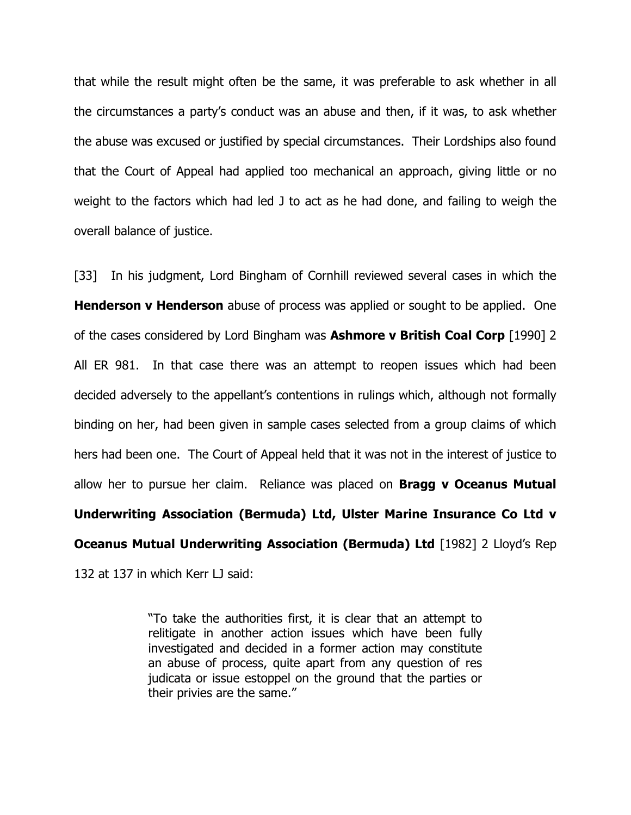that while the result might often be the same, it was preferable to ask whether in all the circumstances a party's conduct was an abuse and then, if it was, to ask whether the abuse was excused or justified by special circumstances. Their Lordships also found that the Court of Appeal had applied too mechanical an approach, giving little or no weight to the factors which had led J to act as he had done, and failing to weigh the overall balance of justice.

[33] In his judgment, Lord Bingham of Cornhill reviewed several cases in which the **Henderson v Henderson** abuse of process was applied or sought to be applied. One of the cases considered by Lord Bingham was **Ashmore v British Coal Corp** [1990] 2 All ER 981. In that case there was an attempt to reopen issues which had been decided adversely to the appellant's contentions in rulings which, although not formally binding on her, had been given in sample cases selected from a group claims of which hers had been one. The Court of Appeal held that it was not in the interest of justice to allow her to pursue her claim. Reliance was placed on **Bragg v Oceanus Mutual** Underwriting Association (Bermuda) Ltd, Ulster Marine Insurance Co Ltd v **Oceanus Mutual Underwriting Association (Bermuda) Ltd** [1982] 2 Lloyd's Rep 132 at 137 in which Kerr LJ said:

> "To take the authorities first, it is clear that an attempt to relitigate in another action issues which have been fully investigated and decided in a former action may constitute an abuse of process, quite apart from any question of res judicata or issue estoppel on the ground that the parties or their privies are the same."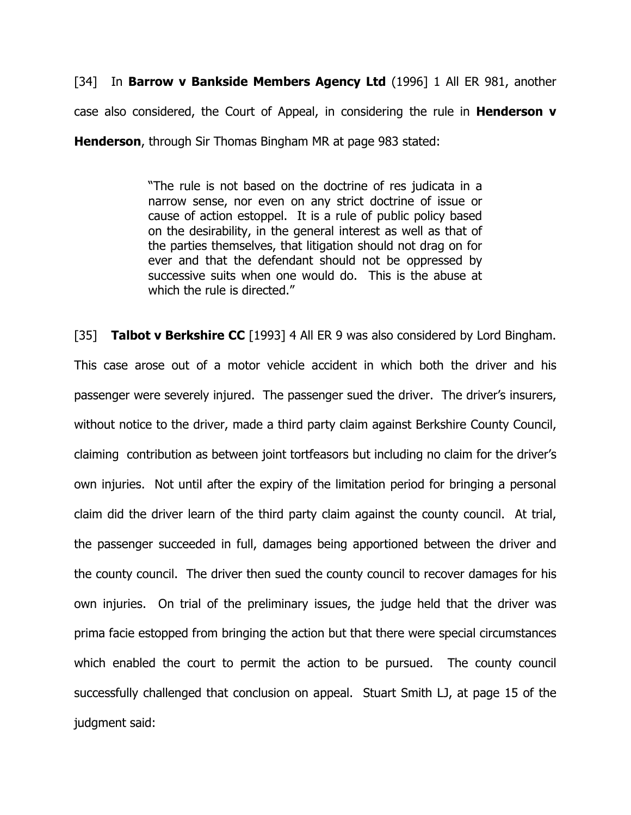[34] In **Barrow v Bankside Members Agency Ltd** (1996] 1 All ER 981, another case also considered, the Court of Appeal, in considering the rule in **Henderson**  $v$ **Henderson, through Sir Thomas Bingham MR at page 983 stated:** 

> "The rule is not based on the doctrine of res judicata in a narrow sense, nor even on any strict doctrine of issue or cause of action estoppel. It is a rule of public policy based on the desirability, in the general interest as well as that of the parties themselves, that litigation should not drag on for ever and that the defendant should not be oppressed by successive suits when one would do. This is the abuse at which the rule is directed."

[35] Talbot v Berkshire CC [1993] 4 All ER 9 was also considered by Lord Bingham. This case arose out of a motor vehicle accident in which both the driver and his passenger were severely injured. The passenger sued the driver. The driver's insurers, without notice to the driver, made a third party claim against Berkshire County Council, claiming contribution as between joint tortfeasors but including no claim for the driver's own injuries. Not until after the expiry of the limitation period for bringing a personal claim did the driver learn of the third party claim against the county council. At trial, the passenger succeeded in full, damages being apportioned between the driver and the county council. The driver then sued the county council to recover damages for his own injuries. On trial of the preliminary issues, the judge held that the driver was prima facie estopped from bringing the action but that there were special circumstances which enabled the court to permit the action to be pursued. The county council successfully challenged that conclusion on appeal. Stuart Smith LJ, at page 15 of the judgment said: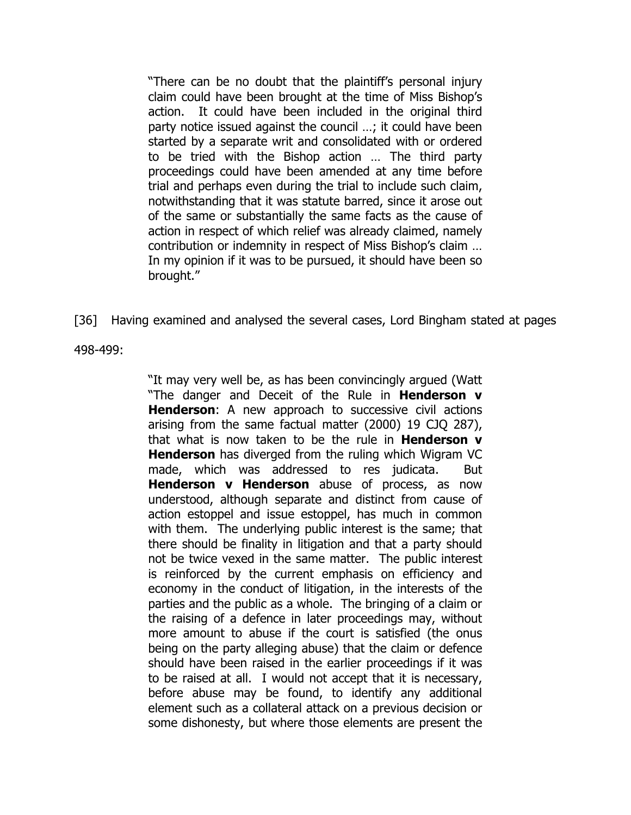"There can be no doubt that the plaintiff's personal injury claim could have been brought at the time of Miss Bishop's action. It could have been included in the original third party notice issued against the council …; it could have been started by a separate writ and consolidated with or ordered to be tried with the Bishop action … The third party proceedings could have been amended at any time before trial and perhaps even during the trial to include such claim, notwithstanding that it was statute barred, since it arose out of the same or substantially the same facts as the cause of action in respect of which relief was already claimed, namely contribution or indemnity in respect of Miss Bishop's claim … In my opinion if it was to be pursued, it should have been so brought."

[36] Having examined and analysed the several cases, Lord Bingham stated at pages

498-499:

"It may very well be, as has been convincingly argued (Watt "The danger and Deceit of the Rule in **Henderson v Henderson:** A new approach to successive civil actions arising from the same factual matter (2000) 19 CJQ 287), that what is now taken to be the rule in **Henderson**  $v$ **Henderson** has diverged from the ruling which Wigram VC made, which was addressed to res judicata. But Henderson v Henderson abuse of process, as now understood, although separate and distinct from cause of action estoppel and issue estoppel, has much in common with them. The underlying public interest is the same; that there should be finality in litigation and that a party should not be twice vexed in the same matter. The public interest is reinforced by the current emphasis on efficiency and economy in the conduct of litigation, in the interests of the parties and the public as a whole. The bringing of a claim or the raising of a defence in later proceedings may, without more amount to abuse if the court is satisfied (the onus being on the party alleging abuse) that the claim or defence should have been raised in the earlier proceedings if it was to be raised at all. I would not accept that it is necessary, before abuse may be found, to identify any additional element such as a collateral attack on a previous decision or some dishonesty, but where those elements are present the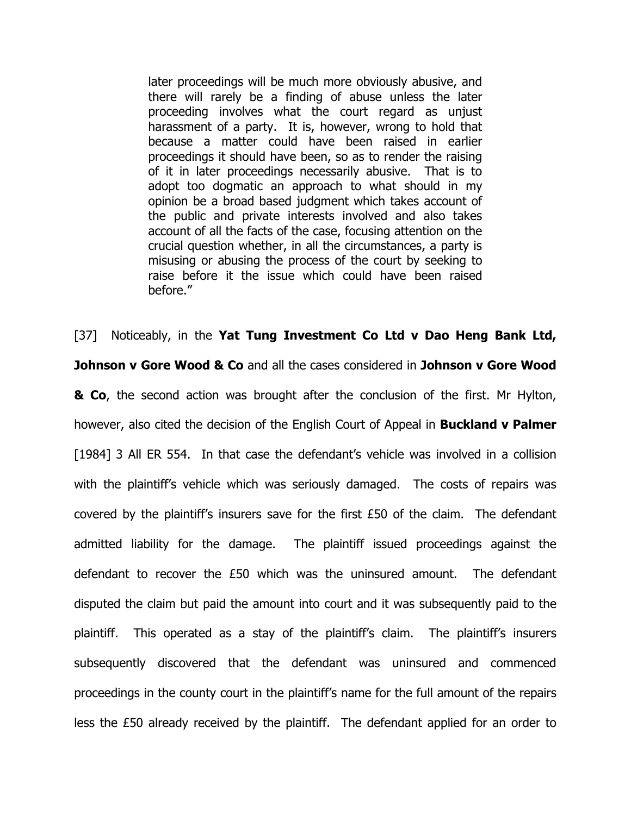later proceedings will be much more obviously abusive, and there will rarely be a finding of abuse unless the later proceeding involves what the court regard as unjust harassment of a party. It is, however, wrong to hold that because a matter could have been raised in earlier proceedings it should have been, so as to render the raising of it in later proceedings necessarily abusive. That is to adopt too dogmatic an approach to what should in my opinion be a broad based judgment which takes account of the public and private interests involved and also takes account of all the facts of the case, focusing attention on the crucial question whether, in all the circumstances, a party is misusing or abusing the process of the court by seeking to raise before it the issue which could have been raised before."

[37] Noticeably, in the Yat Tung Investment Co Ltd v Dao Heng Bank Ltd, **Johnson v Gore Wood & Co** and all the cases considered in Johnson v Gore Wood **& Co**, the second action was brought after the conclusion of the first. Mr Hylton, however, also cited the decision of the English Court of Appeal in **Buckland v Palmer** [1984] 3 All ER 554. In that case the defendant's vehicle was involved in a collision with the plaintiff's vehicle which was seriously damaged. The costs of repairs was covered by the plaintiff's insurers save for the first £50 of the claim. The defendant admitted liability for the damage. The plaintiff issued proceedings against the defendant to recover the £50 which was the uninsured amount. The defendant disputed the claim but paid the amount into court and it was subsequently paid to the plaintiff. This operated as a stay of the plaintiff's claim. The plaintiff's insurers subsequently discovered that the defendant was uninsured and commenced proceedings in the county court in the plaintiff's name for the full amount of the repairs less the £50 already received by the plaintiff. The defendant applied for an order to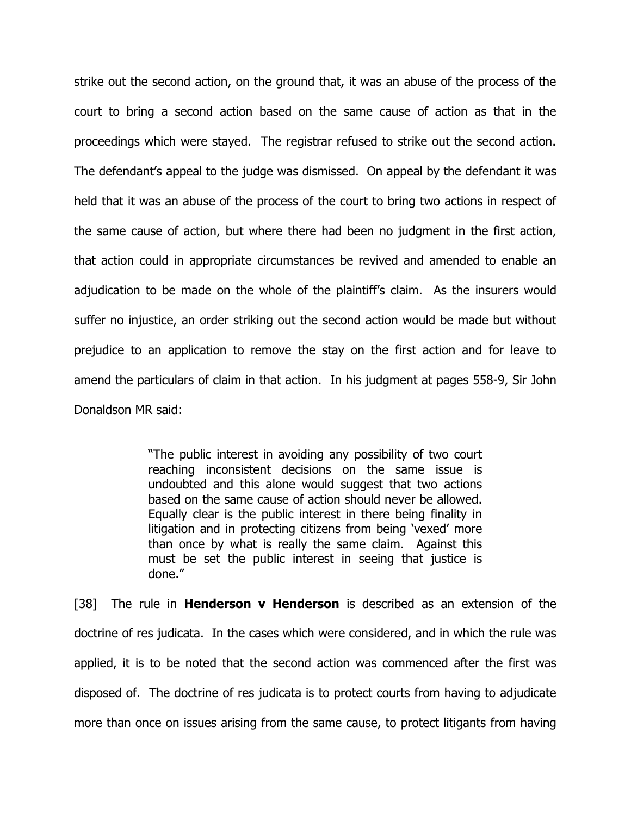strike out the second action, on the ground that, it was an abuse of the process of the court to bring a second action based on the same cause of action as that in the proceedings which were stayed. The registrar refused to strike out the second action. The defendant's appeal to the judge was dismissed. On appeal by the defendant it was held that it was an abuse of the process of the court to bring two actions in respect of the same cause of action, but where there had been no judgment in the first action, that action could in appropriate circumstances be revived and amended to enable an adjudication to be made on the whole of the plaintiff's claim. As the insurers would suffer no injustice, an order striking out the second action would be made but without prejudice to an application to remove the stay on the first action and for leave to amend the particulars of claim in that action. In his judgment at pages 558-9, Sir John Donaldson MR said:

> "The public interest in avoiding any possibility of two court reaching inconsistent decisions on the same issue is undoubted and this alone would suggest that two actions based on the same cause of action should never be allowed. Equally clear is the public interest in there being finality in litigation and in protecting citizens from being 'vexed' more than once by what is really the same claim. Against this must be set the public interest in seeing that justice is done."

[38] The rule in **Henderson v Henderson** is described as an extension of the doctrine of res judicata. In the cases which were considered, and in which the rule was applied, it is to be noted that the second action was commenced after the first was disposed of. The doctrine of res judicata is to protect courts from having to adjudicate more than once on issues arising from the same cause, to protect litigants from having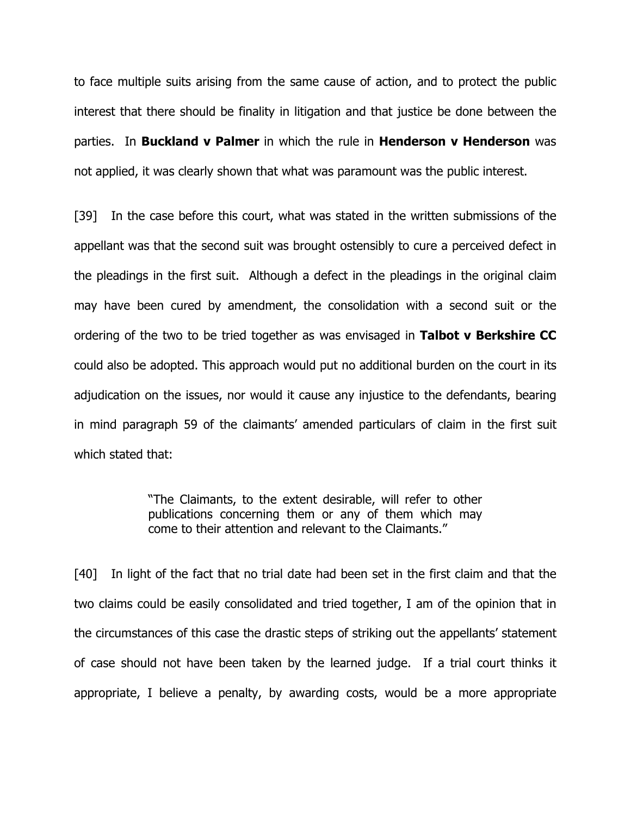to face multiple suits arising from the same cause of action, and to protect the public interest that there should be finality in litigation and that justice be done between the parties. In **Buckland v Palmer** in which the rule in **Henderson v Henderson** was not applied, it was clearly shown that what was paramount was the public interest.

[39] In the case before this court, what was stated in the written submissions of the appellant was that the second suit was brought ostensibly to cure a perceived defect in the pleadings in the first suit. Although a defect in the pleadings in the original claim may have been cured by amendment, the consolidation with a second suit or the ordering of the two to be tried together as was envisaged in Talbot v Berkshire CC could also be adopted. This approach would put no additional burden on the court in its adjudication on the issues, nor would it cause any injustice to the defendants, bearing in mind paragraph 59 of the claimants' amended particulars of claim in the first suit which stated that:

> "The Claimants, to the extent desirable, will refer to other publications concerning them or any of them which may come to their attention and relevant to the Claimants."

[40] In light of the fact that no trial date had been set in the first claim and that the two claims could be easily consolidated and tried together, I am of the opinion that in the circumstances of this case the drastic steps of striking out the appellants' statement of case should not have been taken by the learned judge. If a trial court thinks it appropriate, I believe a penalty, by awarding costs, would be a more appropriate